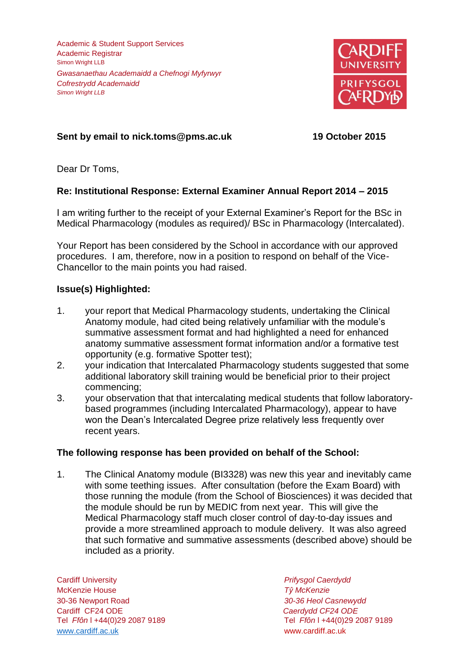Academic & Student Support Services Academic Registrar Simon Wright LLB *Gwasanaethau Academaidd a Chefnogi Myfyrwyr Cofrestrydd Academaidd Simon Wright LLB*



# **Sent by email to nick.toms@pms.ac.uk 19 October 2015**

Dear Dr Toms,

## **Re: Institutional Response: External Examiner Annual Report 2014 – 2015**

I am writing further to the receipt of your External Examiner's Report for the BSc in Medical Pharmacology (modules as required)/ BSc in Pharmacology (Intercalated).

Your Report has been considered by the School in accordance with our approved procedures. I am, therefore, now in a position to respond on behalf of the Vice-Chancellor to the main points you had raised.

## **Issue(s) Highlighted:**

- 1. your report that Medical Pharmacology students, undertaking the Clinical Anatomy module, had cited being relatively unfamiliar with the module's summative assessment format and had highlighted a need for enhanced anatomy summative assessment format information and/or a formative test opportunity (e.g. formative Spotter test);
- 2. your indication that Intercalated Pharmacology students suggested that some additional laboratory skill training would be beneficial prior to their project commencing;
- 3. your observation that that intercalating medical students that follow laboratorybased programmes (including Intercalated Pharmacology), appear to have won the Dean's Intercalated Degree prize relatively less frequently over recent years.

## **The following response has been provided on behalf of the School:**

1. The Clinical Anatomy module (BI3328) was new this year and inevitably came with some teething issues. After consultation (before the Exam Board) with those running the module (from the School of Biosciences) it was decided that the module should be run by MEDIC from next year. This will give the Medical Pharmacology staff much closer control of day-to-day issues and provide a more streamlined approach to module delivery. It was also agreed that such formative and summative assessments (described above) should be included as a priority.

Cardiff University *Prifysgol Caerdydd* McKenzie House *Tŷ McKenzie* 30-36 Newport Road *30-36 Heol Casnewydd* Cardiff CF24 ODE *Caerdydd CF24 ODE* [www.cardiff.ac.uk](http://www.cardiff.ac.uk/) www.cardiff.ac.uk

Tel *Ffôn* l +44(0)29 2087 9189 Tel *Ffôn* l +44(0)29 2087 9189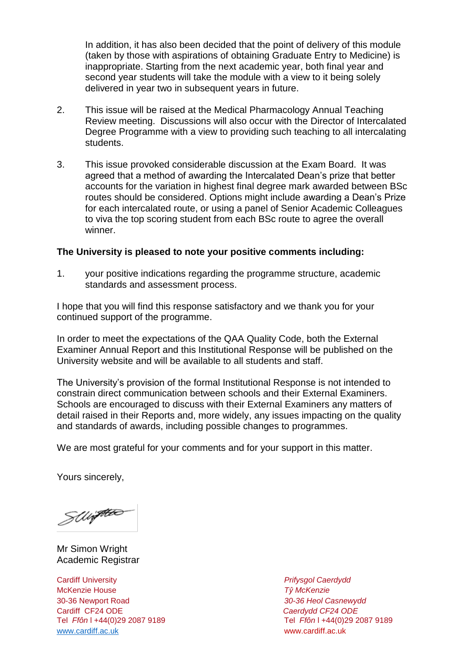In addition, it has also been decided that the point of delivery of this module (taken by those with aspirations of obtaining Graduate Entry to Medicine) is inappropriate. Starting from the next academic year, both final year and second year students will take the module with a view to it being solely delivered in year two in subsequent years in future.

- 2. This issue will be raised at the Medical Pharmacology Annual Teaching Review meeting. Discussions will also occur with the Director of Intercalated Degree Programme with a view to providing such teaching to all intercalating students.
- 3. This issue provoked considerable discussion at the Exam Board. It was agreed that a method of awarding the Intercalated Dean's prize that better accounts for the variation in highest final degree mark awarded between BSc routes should be considered. Options might include awarding a Dean's Prize for each intercalated route, or using a panel of Senior Academic Colleagues to viva the top scoring student from each BSc route to agree the overall winner.

### **The University is pleased to note your positive comments including:**

1. your positive indications regarding the programme structure, academic standards and assessment process.

I hope that you will find this response satisfactory and we thank you for your continued support of the programme.

In order to meet the expectations of the QAA Quality Code, both the External Examiner Annual Report and this Institutional Response will be published on the University website and will be available to all students and staff.

The University's provision of the formal Institutional Response is not intended to constrain direct communication between schools and their External Examiners. Schools are encouraged to discuss with their External Examiners any matters of detail raised in their Reports and, more widely, any issues impacting on the quality and standards of awards, including possible changes to programmes.

We are most grateful for your comments and for your support in this matter.

Yours sincerely,

SWiften

Mr Simon Wright Academic Registrar

Cardiff University *Prifysgol Caerdydd* McKenzie House *Tŷ McKenzie* 30-36 Newport Road *30-36 Heol Casnewydd* Tel *Ffôn* l +44(0)29 2087 9189 Tel *Ffôn* l +44(0)29 2087 9189 [www.cardiff.ac.uk](http://www.cardiff.ac.uk/) www.cardiff.ac.uk

Cardiff CF24 ODE *Caerdydd CF24 ODE*